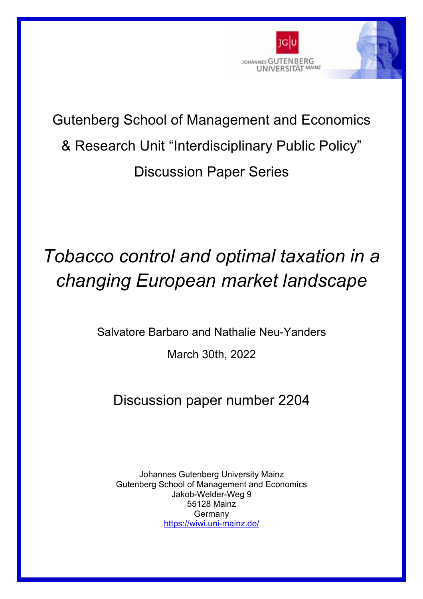

# Gutenberg School of Management and Economics & Research Unit "Interdisciplinary Public Policy" Discussion Paper Series

# *Tobacco control and optimal taxation in a changing European market landscape*

Salvatore Barbaro and Nathalie Neu-Yanders

March 30th, 2022

## Discussion paper number 2204

Johannes Gutenberg University Mainz Gutenberg School of Management and Economics Jakob-Welder-Weg 9 55128 Mainz Germany https://wiwi.uni-mainz.de/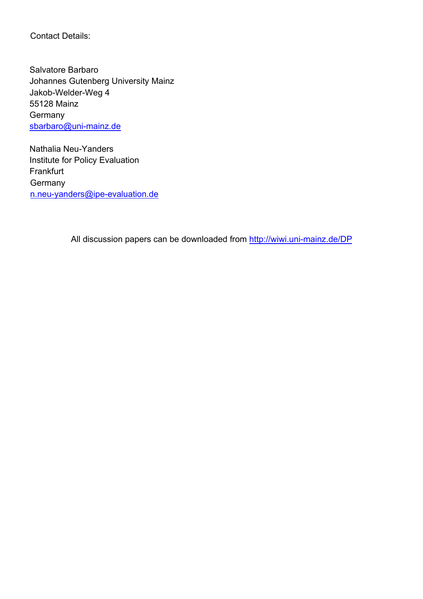Contact Details:

 Salvatore Barbaro Johannes Gutenberg University Mainz Jakob-Welder-Weg 4 55128 Mainz **Germany** sbarbaro@uni-mainz.de

 Nathalia Neu-Yanders Institute for Policy Evaluation Frankfurt **Germany** n.neu-yanders@ipe-evaluation.de

All discussion papers can be downloaded from http://wiwi.uni-mainz.de/DP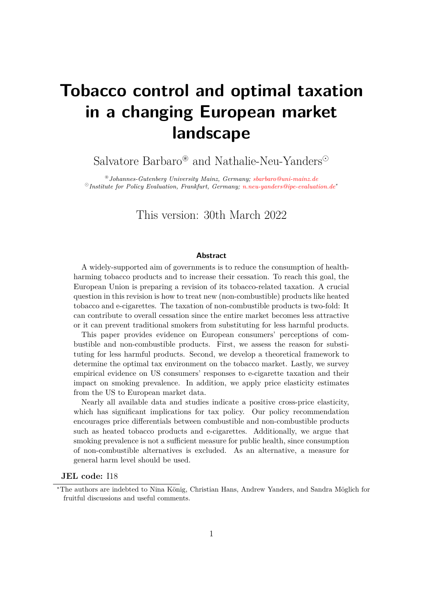## **Tobacco control and optimal taxation in a changing European market landscape**

### Salvatore Barbaro<sup>®</sup> and Nathalie-Neu-Yanders<sup> $\odot$ </sup>

<sup>~</sup>*Johannes-Gutenberg University Mainz, Germany; [sbarbaro@uni-mainz.de](mailto:sbarbaro@uni-mainz.de) Institute for Policy Evaluation, Frankfurt, Germany; [n.neu-yanders@ipe-evaluation.de](mailto:n.neu-yanders@ipe-evaluation.de)<sup>∗</sup>*

#### This version: 30th March 2022

#### **Abstract**

A widely-supported aim of governments is to reduce the consumption of healthharming tobacco products and to increase their cessation. To reach this goal, the European Union is preparing a revision of its tobacco-related taxation. A crucial question in this revision is how to treat new (non-combustible) products like heated tobacco and e-cigarettes. The taxation of non-combustible products is two-fold: It can contribute to overall cessation since the entire market becomes less attractive or it can prevent traditional smokers from substituting for less harmful products.

This paper provides evidence on European consumers' perceptions of combustible and non-combustible products. First, we assess the reason for substituting for less harmful products. Second, we develop a theoretical framework to determine the optimal tax environment on the tobacco market. Lastly, we survey empirical evidence on US consumers' responses to e-cigarette taxation and their impact on smoking prevalence. In addition, we apply price elasticity estimates from the US to European market data.

Nearly all available data and studies indicate a positive cross-price elasticity, which has significant implications for tax policy. Our policy recommendation encourages price differentials between combustible and non-combustible products such as heated tobacco products and e-cigarettes. Additionally, we argue that smoking prevalence is not a sufficient measure for public health, since consumption of non-combustible alternatives is excluded. As an alternative, a measure for general harm level should be used.

#### **JEL code:** I18

<sup>\*</sup>The authors are indebted to Nina König, Christian Hans, Andrew Yanders, and Sandra Möglich for fruitful discussions and useful comments.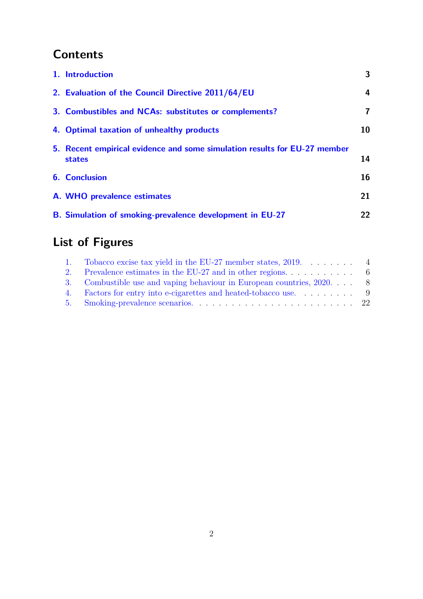### **Contents**

| 1. Introduction                                                                            | $\overline{3}$          |
|--------------------------------------------------------------------------------------------|-------------------------|
| 2. Evaluation of the Council Directive 2011/64/EU                                          | 4                       |
| 3. Combustibles and NCAs: substitutes or complements?                                      | $\overline{\mathbf{r}}$ |
| 4. Optimal taxation of unhealthy products                                                  | 10                      |
| 5. Recent empirical evidence and some simulation results for EU-27 member<br><b>states</b> | 14                      |
| <b>6. Conclusion</b>                                                                       | 16                      |
| A. WHO prevalence estimates                                                                | 21                      |
| B. Simulation of smoking-prevalence development in EU-27                                   | 22                      |

### **List of Figures**

| $\pm$          | Tobacco excise tax yield in the EU-27 member states, $2019. \ldots \ldots$ 4  |  |
|----------------|-------------------------------------------------------------------------------|--|
| 2 <sup>1</sup> | Prevalence estimates in the EU-27 and in other regions. $\dots \dots \dots$ 6 |  |
|                | 3. Combustible use and vaping behaviour in European countries, 2020. 8        |  |
|                |                                                                               |  |
|                |                                                                               |  |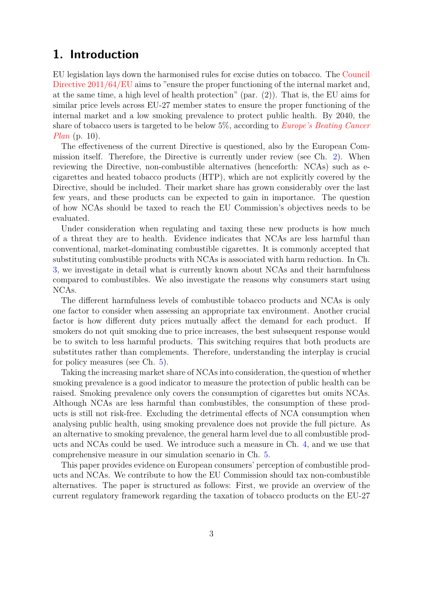#### <span id="page-4-0"></span>**1. Introduction**

EU legislation lays down the harmonised rules for excise duties on tobacco. The [Council](https://eur-lex.europa.eu/legal-content/en/TXT/?uri=CELEX:32011L0064) Directive  $2011/64/EU$  aims to "ensure the proper functioning of the internal market and, at the same time, a high level of health protection" (par. (2)). That is, the EU aims for similar price levels across EU-27 member states to ensure the proper functioning of the internal market and a low smoking prevalence to protect public health. By 2040, the share of tobacco users is targeted to be below 5%, according to *[Europe's Beating Cancer](https://ec.europa.eu/health/system/files/2022-02/eu_cancer-plan_en_0.pdf) [Plan](https://ec.europa.eu/health/system/files/2022-02/eu_cancer-plan_en_0.pdf)* (p. 10).

The effectiveness of the current Directive is questioned, also by the European Commission itself. Therefore, the Directive is currently under review (see Ch. [2\)](#page-5-0). When reviewing the Directive, non-combustible alternatives (henceforth: NCAs) such as ecigarettes and heated tobacco products (HTP), which are not explicitly covered by the Directive, should be included. Their market share has grown considerably over the last few years, and these products can be expected to gain in importance. The question of how NCAs should be taxed to reach the EU Commission's objectives needs to be evaluated.

Under consideration when regulating and taxing these new products is how much of a threat they are to health. Evidence indicates that NCAs are less harmful than conventional, market-dominating combustible cigarettes. It is commonly accepted that substituting combustible products with NCAs is associated with harm reduction. In Ch. [3,](#page-8-0) we investigate in detail what is currently known about NCAs and their harmfulness compared to combustibles. We also investigate the reasons why consumers start using NCAs.

The different harmfulness levels of combustible tobacco products and NCAs is only one factor to consider when assessing an appropriate tax environment. Another crucial factor is how different duty prices mutually affect the demand for each product. If smokers do not quit smoking due to price increases, the best subsequent response would be to switch to less harmful products. This switching requires that both products are substitutes rather than complements. Therefore, understanding the interplay is crucial for policy measures (see Ch. [5\)](#page-15-0).

Taking the increasing market share of NCAs into consideration, the question of whether smoking prevalence is a good indicator to measure the protection of public health can be raised. Smoking prevalence only covers the consumption of cigarettes but omits NCAs. Although NCAs are less harmful than combustibles, the consumption of these products is still not risk-free. Excluding the detrimental effects of NCA consumption when analysing public health, using smoking prevalence does not provide the full picture. As an alternative to smoking prevalence, the general harm level due to all combustible products and NCAs could be used. We introduce such a measure in Ch. [4,](#page-11-0) and we use that comprehensive measure in our simulation scenario in Ch. [5.](#page-15-0)

This paper provides evidence on European consumers' perception of combustible products and NCAs. We contribute to how the EU Commission should tax non-combustible alternatives. The paper is structured as follows: First, we provide an overview of the current regulatory framework regarding the taxation of tobacco products on the EU-27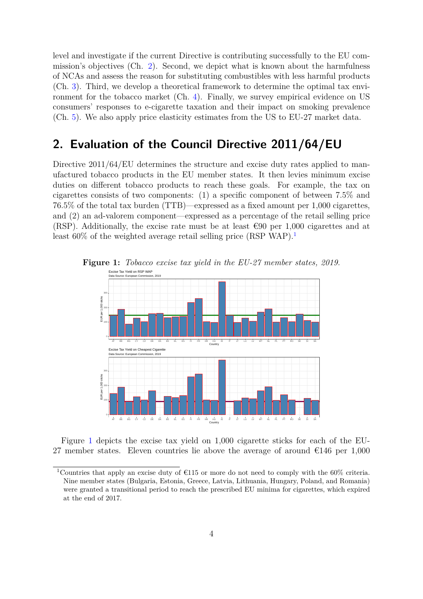level and investigate if the current Directive is contributing successfully to the EU commission's objectives (Ch. [2\)](#page-5-0). Second, we depict what is known about the harmfulness of NCAs and assess the reason for substituting combustibles with less harmful products (Ch. [3\)](#page-8-0). Third, we develop a theoretical framework to determine the optimal tax environment for the tobacco market (Ch. [4\)](#page-11-0). Finally, we survey empirical evidence on US consumers' responses to e-cigarette taxation and their impact on smoking prevalence (Ch. [5\)](#page-15-0). We also apply price elasticity estimates from the US to EU-27 market data.

#### <span id="page-5-0"></span>**2. Evaluation of the Council Directive 2011/64/EU**

Directive  $2011/64/EU$  determines the structure and excise duty rates applied to manufactured tobacco products in the EU member states. It then levies minimum excise duties on different tobacco products to reach these goals. For example, the tax on cigarettes consists of two components: (1) a specific component of between 7.5% and 76.5% of the total tax burden (TTB)—expressed as a fixed amount per 1,000 cigarettes, and (2) an ad-valorem component—expressed as a percentage of the retail selling price (RSP). Additionally, the excise rate must be at least  $\epsilon$ 90 per 1,000 cigarettes and at least  $60\%$  of the weighted average retail selling price (RSP WAP).<sup>[1](#page-5-2)</sup>



<span id="page-5-1"></span>**Figure 1:** *Tobacco excise tax yield in the EU-27 member states, 2019.* Excise Tax Yield on RSP WAP

Figure [1](#page-5-1) depicts the excise tax yield on 1,000 cigarette sticks for each of the EU-27 member states. Eleven countries lie above the average of around  $\epsilon$ 146 per 1,000

<span id="page-5-2"></span><sup>&</sup>lt;sup>1</sup>Countries that apply an excise duty of  $\epsilon$ 115 or more do not need to comply with the 60% criteria. Nine member states (Bulgaria, Estonia, Greece, Latvia, Lithuania, Hungary, Poland, and Romania) were granted a transitional period to reach the prescribed EU minima for cigarettes, which expired at the end of 2017.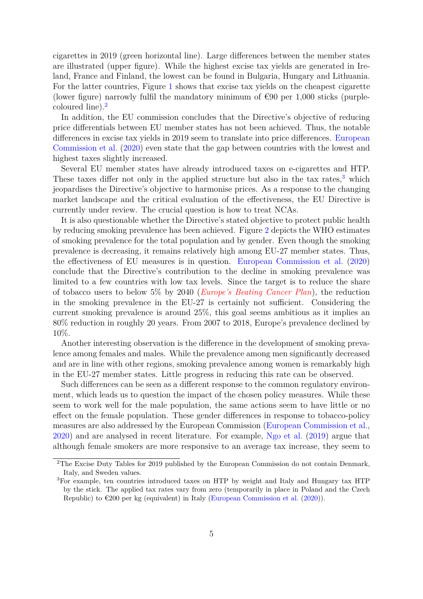cigarettes in 2019 (green horizontal line). Large differences between the member states are illustrated (upper figure). While the highest excise tax yields are generated in Ireland, France and Finland, the lowest can be found in Bulgaria, Hungary and Lithuania. For the latter countries, Figure [1](#page-5-1) shows that excise tax yields on the cheapest cigarette (lower figure) narrowly fulfil the mandatory minimum of  $\epsilon$ 90 per 1,000 sticks (purplecoloured line).[2](#page-6-0)

In addition, the EU commission concludes that the Directive's objective of reducing price differentials between EU member states has not been achieved. Thus, the notable differences in excise tax yields in 2019 seem to translate into price differences. [European](#page-20-0) [Commission et al.](#page-20-0) [\(2020\)](#page-20-0) even state that the gap between countries with the lowest and highest taxes slightly increased.

Several EU member states have already introduced taxes on e-cigarettes and HTP. These taxes differ not only in the applied structure but also in the tax rates, $3$  which jeopardises the Directive's objective to harmonise prices. As a response to the changing market landscape and the critical evaluation of the effectiveness, the EU Directive is currently under review. The crucial question is how to treat NCAs.

It is also questionable whether the Directive's stated objective to protect public health by reducing smoking prevalence has been achieved. Figure [2](#page-7-0) depicts the WHO estimates of smoking prevalence for the total population and by gender. Even though the smoking prevalence is decreasing, it remains relatively high among EU-27 member states. Thus, the effectiveness of EU measures is in question. [European Commission et al.](#page-20-0) [\(2020\)](#page-20-0) conclude that the Directive's contribution to the decline in smoking prevalence was limited to a few countries with low tax levels. Since the target is to reduce the share of tobacco users to below 5% by 2040 (*[Europe's Beating Cancer Plan](https://ec.europa.eu/health/system/files/2022-02/eu_cancer-plan_en_0.pdf)*), the reduction in the smoking prevalence in the EU-27 is certainly not sufficient. Considering the current smoking prevalence is around 25%, this goal seems ambitious as it implies an 80% reduction in roughly 20 years. From 2007 to 2018, Europe's prevalence declined by 10%.

Another interesting observation is the difference in the development of smoking prevalence among females and males. While the prevalence among men significantly decreased and are in line with other regions, smoking prevalence among women is remarkably high in the EU-27 member states. Little progress in reducing this rate can be observed.

Such differences can be seen as a different response to the common regulatory environment, which leads us to question the impact of the chosen policy measures. While these seem to work well for the male population, the same actions seem to have little or no effect on the female population. These gender differences in response to tobacco-policy measures are also addressed by the European Commission [\(European Commission et al.,](#page-20-0) [2020\)](#page-20-0) and are analysed in recent literature. For example, [Ngo et al.](#page-20-1) [\(2019\)](#page-20-1) argue that although female smokers are more responsive to an average tax increase, they seem to

<span id="page-6-0"></span><sup>&</sup>lt;sup>2</sup>The Excise Duty Tables for 2019 published by the European Commission do not contain Denmark, Italy, and Sweden values.

<span id="page-6-1"></span><sup>3</sup>For example, ten countries introduced taxes on HTP by weight and Italy and Hungary tax HTP by the stick. The applied tax rates vary from zero (temporarily in place in Poland and the Czech Republic) to  $\epsilon$ 200 per kg (equivalent) in Italy [\(European Commission et al.](#page-20-0) [\(2020\)](#page-20-0)).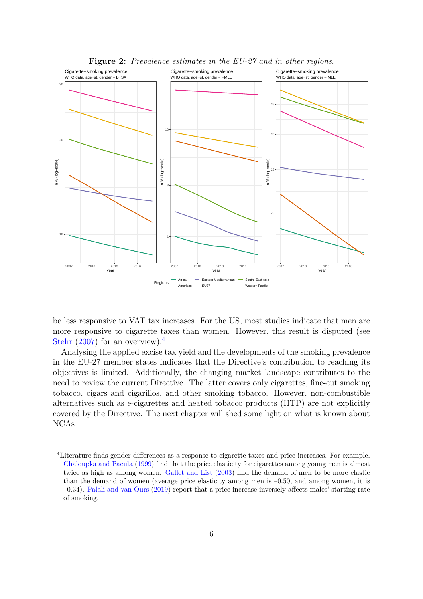<span id="page-7-0"></span>

**Figure 2:** *Prevalence estimates in the EU-27 and in other regions.*

be less responsive to VAT tax increases. For the US, most studies indicate that men are more responsive to cigarette taxes than women. However, this result is disputed (see [Stehr](#page-21-0)  $(2007)$  for an overview).<sup>[4](#page-7-1)</sup>

Analysing the applied excise tax yield and the developments of the smoking prevalence in the EU-27 member states indicates that the Directive's contribution to reaching its objectives is limited. Additionally, the changing market landscape contributes to the need to review the current Directive. The latter covers only cigarettes, fine-cut smoking tobacco, cigars and cigarillos, and other smoking tobacco. However, non-combustible alternatives such as e-cigarettes and heated tobacco products (HTP) are not explicitly covered by the Directive. The next chapter will shed some light on what is known about NCAs.

<span id="page-7-1"></span><sup>4</sup>Literature finds gender differences as a response to cigarette taxes and price increases. For example, [Chaloupka and Pacula](#page-19-0) [\(1999\)](#page-19-0) find that the price elasticity for cigarettes among young men is almost twice as high as among women. [Gallet and List](#page-20-2) [\(2003\)](#page-20-2) find the demand of men to be more elastic than the demand of women (average price elasticity among men is –0.50, and among women, it is –0.34). [Palali and van Ours](#page-21-1) [\(2019\)](#page-21-1) report that a price increase inversely affects males' starting rate of smoking.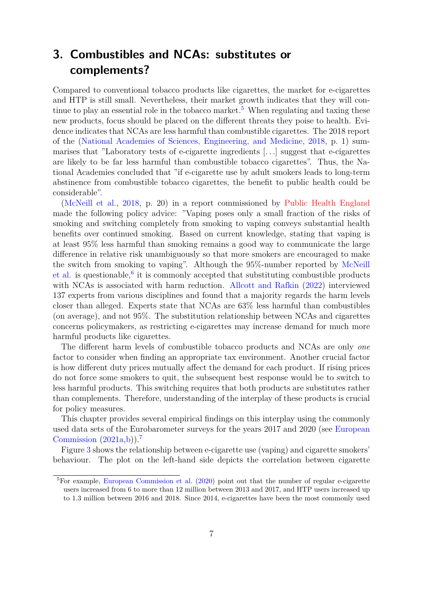#### <span id="page-8-0"></span>**3. Combustibles and NCAs: substitutes or complements?**

Compared to conventional tobacco products like cigarettes, the market for e-cigarettes and HTP is still small. Nevertheless, their market growth indicates that they will con-tinue to play an essential role in the tobacco market.<sup>[5](#page-8-1)</sup> When regulating and taxing these new products, focus should be placed on the different threats they poise to health. Evidence indicates that NCAs are less harmful than combustible cigarettes. The 2018 report of the [\(National Academies of Sciences, Engineering, and Medicine,](#page-20-3) [2018,](#page-20-3) p. 1) summarises that "Laboratory tests of e-cigarette ingredients [*. . .*] suggest that e-cigarettes are likely to be far less harmful than combustible tobacco cigarettes". Thus, the National Academies concluded that "if e-cigarette use by adult smokers leads to long-term abstinence from combustible tobacco cigarettes, the benefit to public health could be considerable".

[\(McNeill et al.,](#page-20-4) [2018,](#page-20-4) p. 20) in a report commissioned by [Public Health England](https://www.gov.uk/government/organisations/public-health-england) made the following policy advice: "Vaping poses only a small fraction of the risks of smoking and switching completely from smoking to vaping conveys substantial health benefits over continued smoking. Based on current knowledge, stating that vaping is at least 95% less harmful than smoking remains a good way to communicate the large difference in relative risk unambiguously so that more smokers are encouraged to make the switch from smoking to vaping". Although the 95%-number reported by [McNeill](#page-20-4)  $et$  al. is questionable,<sup>[6](#page-9-1)</sup> it is commonly accepted that substituting combustible products with NCAs is associated with harm reduction. [Allcott and Rafkin](#page-19-1) [\(2022\)](#page-19-1) interviewed 137 experts from various disciplines and found that a majority regards the harm levels closer than alleged. Experts state that NCAs are 63% less harmful than combustibles (on average), and not 95%. The substitution relationship between NCAs and cigarettes concerns policymakers, as restricting e-cigarettes may increase demand for much more harmful products like cigarettes.

The different harm levels of combustible tobacco products and NCAs are only *one* factor to consider when finding an appropriate tax environment. Another crucial factor is how different duty prices mutually affect the demand for each product. If rising prices do not force some smokers to quit, the subsequent best response would be to switch to less harmful products. This switching requires that both products are substitutes rather than complements. Therefore, understanding of the interplay of these products is crucial for policy measures.

This chapter provides several empirical findings on this interplay using the commonly used data sets of the Eurobarometer surveys for the years 2017 and 2020 (see [European](#page-20-5) [Commission](#page-20-5)  $(2021a,b)$  $(2021a,b)$ .<sup>[7](#page-9-2)</sup>

Figure [3](#page-9-0) shows the relationship between e-cigarette use (vaping) and cigarette smokers' behaviour. The plot on the left-hand side depicts the correlation between cigarette

<span id="page-8-1"></span><sup>&</sup>lt;sup>5</sup>For example, [European Commission et al.](#page-20-0)  $(2020)$  point out that the number of regular e-cigarette users increased from 6 to more than 12 million between 2013 and 2017, and HTP users increased up to 1.3 million between 2016 and 2018. Since 2014, e-cigarettes have been the most commonly used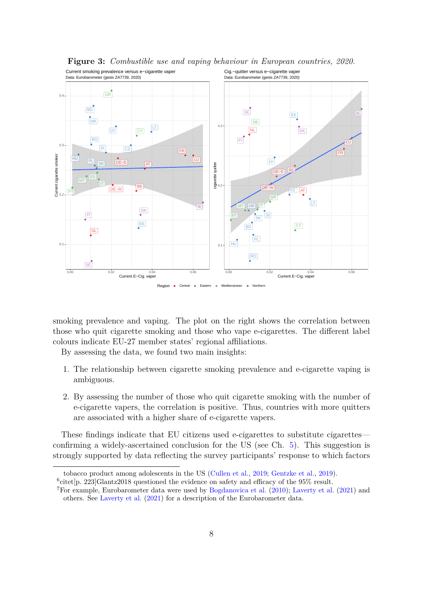

#### <span id="page-9-0"></span>**Figure 3:** *Combustible use and vaping behaviour in European countries, 2020.*

smoking prevalence and vaping. The plot on the right shows the correlation between those who quit cigarette smoking and those who vape e-cigarettes. The different label colours indicate EU-27 member states' regional affiliations.

By assessing the data, we found two main insights:

- 1. The relationship between cigarette smoking prevalence and e-cigarette vaping is ambiguous.
- 2. By assessing the number of those who quit cigarette smoking with the number of e-cigarette vapers, the correlation is positive. Thus, countries with more quitters are associated with a higher share of e-cigarette vapers.

These findings indicate that EU citizens used e-cigarettes to substitute cigarettes confirming a widely-ascertained conclusion for the US (see Ch. [5\)](#page-15-0). This suggestion is strongly supported by data reflecting the survey participants' response to which factors

tobacco product among adolescents in the US [\(Cullen et al.,](#page-20-7) [2019;](#page-20-7) [Gentzke et al.,](#page-20-8) [2019\)](#page-20-8).

<span id="page-9-1"></span><sup>6</sup> citet[p. 223]Glantz2018 questioned the evidence on safety and efficacy of the 95% result.

<span id="page-9-2"></span><sup>7</sup>For example, Eurobarometer data were used by [Bogdanovica et al.](#page-19-2) [\(2010\)](#page-19-2); [Laverty et al.](#page-20-9) [\(2021\)](#page-20-9) and others. See [Laverty et al.](#page-20-9) [\(2021\)](#page-20-9) for a description of the Eurobarometer data.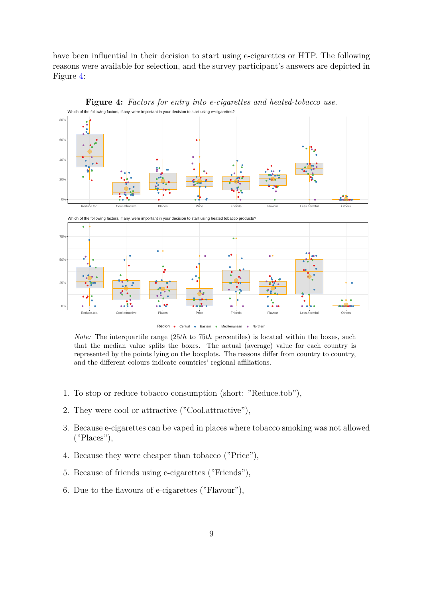have been influential in their decision to start using e-cigarettes or HTP. The following reasons were available for selection, and the survey participant's answers are depicted in Figure [4:](#page-10-0)



<span id="page-10-0"></span>**Figure 4:** *Factors for entry into e-cigarettes and heated-tobacco use.* Which of the following factors, if any, were important in your decision to start using e−cigarettes?

*Note:* The interquartile range (25*th* to 75*th* percentiles) is located within the boxes, such that the median value splits the boxes. The actual (average) value for each country is represented by the points lying on the boxplots. The reasons differ from country to country, and the different colours indicate countries' regional affiliations.

- 1. To stop or reduce tobacco consumption (short: "Reduce.tob"),
- 2. They were cool or attractive ("Cool.attractive"),
- 3. Because e-cigarettes can be vaped in places where tobacco smoking was not allowed ("Places"),
- 4. Because they were cheaper than tobacco ("Price"),
- 5. Because of friends using e-cigarettes ("Friends"),
- 6. Due to the flavours of e-cigarettes ("Flavour"),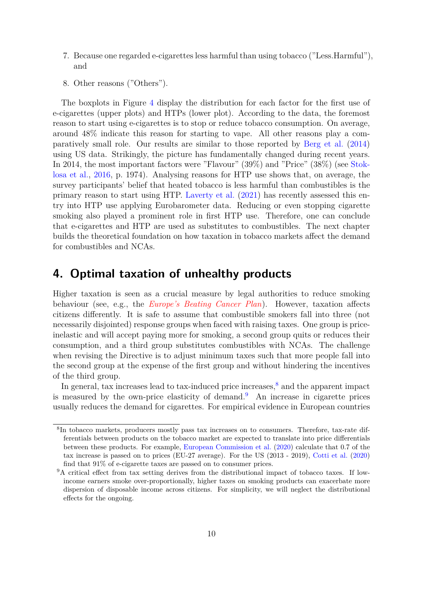- 7. Because one regarded e-cigarettes less harmful than using tobacco ("Less.Harmful"), and
- 8. Other reasons ("Others").

The boxplots in Figure [4](#page-10-0) display the distribution for each factor for the first use of e-cigarettes (upper plots) and HTPs (lower plot). According to the data, the foremost reason to start using e-cigarettes is to stop or reduce tobacco consumption. On average, around 48% indicate this reason for starting to vape. All other reasons play a comparatively small role. Our results are similar to those reported by [Berg et al.](#page-19-3) [\(2014\)](#page-19-3) using US data. Strikingly, the picture has fundamentally changed during recent years. In 2014, the most important factors were "Flavour" (39%) and "Price" (38%) (see [Stok](#page-21-2)[losa et al.,](#page-21-2) [2016,](#page-21-2) p. 1974). Analysing reasons for HTP use shows that, on average, the survey participants' belief that heated tobacco is less harmful than combustibles is the primary reason to start using HTP. [Laverty et al.](#page-20-9) [\(2021\)](#page-20-9) has recently assessed this entry into HTP use applying Eurobarometer data. Reducing or even stopping cigarette smoking also played a prominent role in first HTP use. Therefore, one can conclude that e-cigarettes and HTP are used as substitutes to combustibles. The next chapter builds the theoretical foundation on how taxation in tobacco markets affect the demand for combustibles and NCAs.

#### <span id="page-11-0"></span>**4. Optimal taxation of unhealthy products**

Higher taxation is seen as a crucial measure by legal authorities to reduce smoking behaviour (see, e.g., the *[Europe's Beating Cancer Plan](https://ec.europa.eu/health/system/files/2022-02/eu_cancer-plan_en_0.pdf)*). However, taxation affects citizens differently. It is safe to assume that combustible smokers fall into three (not necessarily disjointed) response groups when faced with raising taxes. One group is priceinelastic and will accept paying more for smoking, a second group quits or reduces their consumption, and a third group substitutes combustibles with NCAs. The challenge when revising the Directive is to adjust minimum taxes such that more people fall into the second group at the expense of the first group and without hindering the incentives of the third group.

In general, tax increases lead to tax-induced price increases,  $\delta$  and the apparent impact is measured by the own-price elasticity of demand.<sup>[9](#page-11-2)</sup> An increase in cigarette prices usually reduces the demand for cigarettes. For empirical evidence in European countries

<span id="page-11-1"></span><sup>&</sup>lt;sup>8</sup>In tobacco markets, producers mostly pass tax increases on to consumers. Therefore, tax-rate differentials between products on the tobacco market are expected to translate into price differentials between these products. For example, [European Commission et al.](#page-20-0) [\(2020\)](#page-20-0) calculate that 0.7 of the tax increase is passed on to prices (EU-27 average). For the US (2013 - 2019), [Cotti et al.](#page-19-4) [\(2020\)](#page-19-4) find that 91% of e-cigarette taxes are passed on to consumer prices.

<span id="page-11-2"></span><sup>&</sup>lt;sup>9</sup>A critical effect from tax setting derives from the distributional impact of tobacco taxes. If lowincome earners smoke over-proportionally, higher taxes on smoking products can exacerbate more dispersion of disposable income across citizens. For simplicity, we will neglect the distributional effects for the ongoing.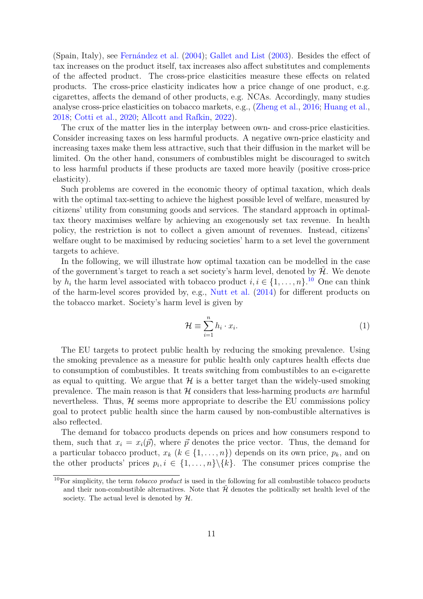(Spain, Italy), see Fernández et al.  $(2004)$ ; [Gallet and List](#page-20-2)  $(2003)$ . Besides the effect of tax increases on the product itself, tax increases also affect substitutes and complements of the affected product. The cross-price elasticities measure these effects on related products. The cross-price elasticity indicates how a price change of one product, e.g. cigarettes, affects the demand of other products, e.g. NCAs. Accordingly, many studies analyse cross-price elasticities on tobacco markets, e.g., [\(Zheng et al.,](#page-21-3) [2016;](#page-21-3) [Huang et al.,](#page-20-11) [2018;](#page-20-11) [Cotti et al.,](#page-19-4) [2020;](#page-19-4) [Allcott and Rafkin,](#page-19-1) [2022\)](#page-19-1).

The crux of the matter lies in the interplay between own- and cross-price elasticities. Consider increasing taxes on less harmful products. A negative own-price elasticity and increasing taxes make them less attractive, such that their diffusion in the market will be limited. On the other hand, consumers of combustibles might be discouraged to switch to less harmful products if these products are taxed more heavily (positive cross-price elasticity).

Such problems are covered in the economic theory of optimal taxation, which deals with the optimal tax-setting to achieve the highest possible level of welfare, measured by citizens' utility from consuming goods and services. The standard approach in optimaltax theory maximises welfare by achieving an exogenously set tax revenue. In health policy, the restriction is not to collect a given amount of revenues. Instead, citizens' welfare ought to be maximised by reducing societies' harm to a set level the government targets to achieve.

In the following, we will illustrate how optimal taxation can be modelled in the case of the government's target to reach a set society's harm level, denoted by  $\mathcal{H}$ . We denote by  $h_i$  the harm level associated with tobacco product  $i, i \in \{1, ..., n\}$ .<sup>[10](#page-12-0)</sup> One can think of the harm-level scores provided by, e.g., [Nutt et al.](#page-21-4) [\(2014\)](#page-21-4) for different products on the tobacco market. Society's harm level is given by

$$
\mathcal{H} \equiv \sum_{i=1}^{n} h_i \cdot x_i.
$$
 (1)

The EU targets to protect public health by reducing the smoking prevalence. Using the smoking prevalence as a measure for public health only captures health effects due to consumption of combustibles. It treats switching from combustibles to an e-cigarette as equal to quitting. We argue that  $\mathcal H$  is a better target than the widely-used smoking prevalence. The main reason is that  $H$  considers that less-harming products *are* harmful nevertheless. Thus,  $H$  seems more appropriate to describe the EU commissions policy goal to protect public health since the harm caused by non-combustible alternatives is also reflected.

The demand for tobacco products depends on prices and how consumers respond to them, such that  $x_i = x_i(\vec{p})$ , where  $\vec{p}$  denotes the price vector. Thus, the demand for a particular tobacco product,  $x_k$  ( $k \in \{1, ..., n\}$ ) depends on its own price,  $p_k$ , and on the other products' prices  $p_i, i \in \{1, ..., n\} \backslash \{k\}$ . The consumer prices comprise the

<span id="page-12-0"></span><sup>10</sup>For simplicity, the term *tobacco product* is used in the following for all combustible tobacco products and their non-combustible alternatives. Note that  $\hat{\mathcal{H}}$  denotes the politically set health level of the society. The actual level is denoted by  $H$ .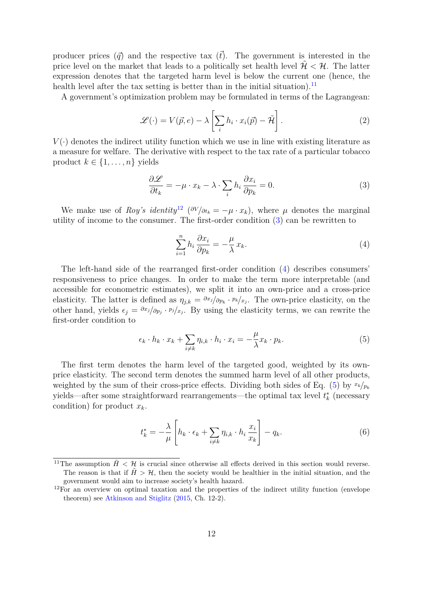producer prices  $(\vec{q})$  and the respective tax  $(t)$ . The government is interested in the price level on the market that leads to a politically set health level  $\mathcal{H} < \mathcal{H}$ . The latter expression denotes that the targeted harm level is below the current one (hence, the health level after the tax setting is better than in the initial situation).<sup>[11](#page-13-0)</sup>

A government's optimization problem may be formulated in terms of the Lagrangean:

$$
\mathscr{L}(\cdot) = V(\vec{p}, e) - \lambda \left[ \sum_{i} h_i \cdot x_i(\vec{p}) - \tilde{\mathcal{H}} \right]. \tag{2}
$$

 $V(\cdot)$  denotes the indirect utility function which we use in line with existing literature as a measure for welfare. The derivative with respect to the tax rate of a particular tobacco product  $k \in \{1, \ldots, n\}$  yields

<span id="page-13-2"></span>
$$
\frac{\partial \mathcal{L}}{\partial t_k} = -\mu \cdot x_k - \lambda \cdot \sum_i h_i \frac{\partial x_i}{\partial p_k} = 0.
$$
 (3)

We make use of *Roy's identity*<sup>[12](#page-13-1)</sup> ( $\partial V/\partial t_k = -\mu \cdot x_k$ ), where  $\mu$  denotes the marginal utility of income to the consumer. The first-order condition [\(3\)](#page-13-2) can be rewritten to

<span id="page-13-3"></span>
$$
\sum_{i=1}^{n} h_i \frac{\partial x_i}{\partial p_k} = -\frac{\mu}{\lambda} x_k.
$$
\n(4)

The left-hand side of the rearranged first-order condition [\(4\)](#page-13-3) describes consumers' responsiveness to price changes. In order to make the term more interpretable (and accessible for econometric estimates), we split it into an own-price and a cross-price elasticity. The latter is defined as  $\eta_{j,k} = \partial x_j / \partial p_k \cdot p_k / x_j$ . The own-price elasticity, on the other hand, yields  $\epsilon_j = \partial x_j / \partial p_j \cdot p_j / x_j$ . By using the elasticity terms, we can rewrite the first-order condition to

<span id="page-13-4"></span>
$$
\epsilon_k \cdot h_k \cdot x_k + \sum_{i \neq k} \eta_{i,k} \cdot h_i \cdot x_i = -\frac{\mu}{\lambda} x_k \cdot p_k. \tag{5}
$$

The first term denotes the harm level of the targeted good, weighted by its ownprice elasticity. The second term denotes the summed harm level of all other products, weighted by the sum of their cross-price effects. Dividing both sides of Eq. [\(5\)](#page-13-4) by  $x_k/p_k$ yields—after some straightforward rearrangements—the optimal tax level  $t_k^*$  (necessary condition) for product *xk*.

<span id="page-13-5"></span>
$$
t_k^* = -\frac{\lambda}{\mu} \left[ h_k \cdot \epsilon_k + \sum_{i \neq k} \eta_{i,k} \cdot h_i \frac{x_i}{x_k} \right] - q_k. \tag{6}
$$

<span id="page-13-0"></span><sup>&</sup>lt;sup>11</sup>The assumption  $\tilde{H} < H$  is crucial since otherwise all effects derived in this section would reverse. The reason is that if  $\tilde{H} > \mathcal{H}$ , then the society would be healthier in the initial situation, and the government would aim to increase society's health hazard.

<span id="page-13-1"></span><sup>&</sup>lt;sup>12</sup>For an overview on optimal taxation and the properties of the indirect utility function (envelope theorem) see [Atkinson and Stiglitz](#page-19-5) [\(2015,](#page-19-5) Ch. 12-2).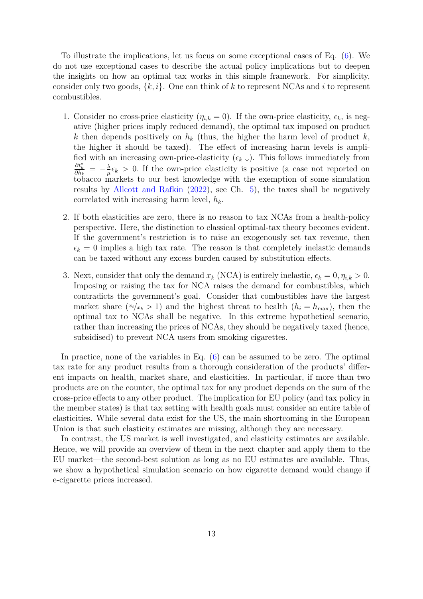To illustrate the implications, let us focus on some exceptional cases of Eq. [\(6\)](#page-13-5). We do not use exceptional cases to describe the actual policy implications but to deepen the insights on how an optimal tax works in this simple framework. For simplicity, consider only two goods, {*k, i*}. One can think of *k* to represent NCAs and *i* to represent combustibles.

- 1. Consider no cross-price elasticity  $(\eta_{i,k} = 0)$ . If the own-price elasticity,  $\epsilon_k$ , is negative (higher prices imply reduced demand), the optimal tax imposed on product *k* then depends positively on  $h_k$  (thus, the higher the harm level of product  $k$ , the higher it should be taxed). The effect of increasing harm levels is amplified with an increasing own-price-elasticity  $(\epsilon_k \downarrow)$ . This follows immediately from  $\frac{\partial t_k^*}{\partial h_k} = -\frac{\lambda}{\mu}$  $\frac{\lambda}{\mu}\epsilon_k > 0$ . If the own-price elasticity is positive (a case not reported on tobacco markets to our best knowledge with the exemption of some simulation results by [Allcott and Rafkin](#page-19-1) [\(2022\)](#page-19-1), see Ch. [5\)](#page-15-0), the taxes shall be negatively correlated with increasing harm level, *hk*.
- 2. If both elasticities are zero, there is no reason to tax NCAs from a health-policy perspective. Here, the distinction to classical optimal-tax theory becomes evident. If the government's restriction is to raise an exogenously set tax revenue, then  $\epsilon_k = 0$  implies a high tax rate. The reason is that completely inelastic demands can be taxed without any excess burden caused by substitution effects.
- 3. Next, consider that only the demand  $x_k$  (NCA) is entirely inelastic,  $\epsilon_k = 0, \eta_{i,k} > 0$ . Imposing or raising the tax for NCA raises the demand for combustibles, which contradicts the government's goal. Consider that combustibles have the largest market share  $(x_i/x_k > 1)$  and the highest threat to health  $(h_i = h_{\text{max}})$ , then the optimal tax to NCAs shall be negative. In this extreme hypothetical scenario, rather than increasing the prices of NCAs, they should be negatively taxed (hence, subsidised) to prevent NCA users from smoking cigarettes.

In practice, none of the variables in Eq.  $(6)$  can be assumed to be zero. The optimal tax rate for any product results from a thorough consideration of the products' different impacts on health, market share, and elasticities. In particular, if more than two products are on the counter, the optimal tax for any product depends on the sum of the cross-price effects to any other product. The implication for EU policy (and tax policy in the member states) is that tax setting with health goals must consider an entire table of elasticities. While several data exist for the US, the main shortcoming in the European Union is that such elasticity estimates are missing, although they are necessary.

In contrast, the US market is well investigated, and elasticity estimates are available. Hence, we will provide an overview of them in the next chapter and apply them to the EU market—the second-best solution as long as no EU estimates are available. Thus, we show a hypothetical simulation scenario on how cigarette demand would change if e-cigarette prices increased.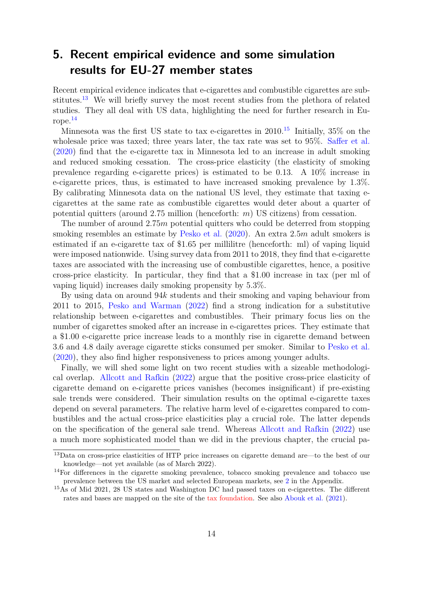#### <span id="page-15-0"></span>**5. Recent empirical evidence and some simulation results for EU-27 member states**

Recent empirical evidence indicates that e-cigarettes and combustible cigarettes are sub-stitutes.<sup>[13](#page-15-1)</sup> We will briefly survey the most recent studies from the plethora of related studies. They all deal with US data, highlighting the need for further research in Europe.[14](#page-15-2)

Minnesota was the first US state to tax e-cigarettes in  $2010^{15}$  $2010^{15}$  $2010^{15}$  Initially,  $35\%$  on the wholesale price was taxed; three years later, the tax rate was set to 95%. [Saffer et al.](#page-21-5) [\(2020\)](#page-21-5) find that the e-cigarette tax in Minnesota led to an increase in adult smoking and reduced smoking cessation. The cross-price elasticity (the elasticity of smoking prevalence regarding e-cigarette prices) is estimated to be 0*.*13. A 10% increase in e-cigarette prices, thus, is estimated to have increased smoking prevalence by 1.3%. By calibrating Minnesota data on the national US level, they estimate that taxing ecigarettes at the same rate as combustible cigarettes would deter about a quarter of potential quitters (around 2.75 million (henceforth: *m*) US citizens) from cessation.

The number of around 2.75*m* potential quitters who could be deterred from stopping smoking resembles an estimate by [Pesko et al.](#page-21-6) [\(2020\)](#page-21-6). An extra 2.5*m* adult smokers is estimated if an e-cigarette tax of \$1.65 per millilitre (henceforth: ml) of vaping liquid were imposed nationwide. Using survey data from 2011 to 2018, they find that e-cigarette taxes are associated with the increasing use of combustible cigarettes, hence, a positive cross-price elasticity. In particular, they find that a \$1.00 increase in tax (per ml of vaping liquid) increases daily smoking propensity by 5.3%.

By using data on around 94*k* students and their smoking and vaping behaviour from 2011 to 2015, [Pesko and Warman](#page-21-7) [\(2022\)](#page-21-7) find a strong indication for a substitutive relationship between e-cigarettes and combustibles. Their primary focus lies on the number of cigarettes smoked after an increase in e-cigarettes prices. They estimate that a \$1.00 e-cigarette price increase leads to a monthly rise in cigarette demand between 3.6 and 4.8 daily average cigarette sticks consumed per smoker. Similar to [Pesko et al.](#page-21-6) [\(2020\)](#page-21-6), they also find higher responsiveness to prices among younger adults.

Finally, we will shed some light on two recent studies with a sizeable methodological overlap. [Allcott and Rafkin](#page-19-1) [\(2022\)](#page-19-1) argue that the positive cross-price elasticity of cigarette demand on e-cigarette prices vanishes (becomes insignificant) if pre-existing sale trends were considered. Their simulation results on the optimal e-cigarette taxes depend on several parameters. The relative harm level of e-cigarettes compared to combustibles and the actual cross-price elasticities play a crucial role. The latter depends on the specification of the general sale trend. Whereas [Allcott and Rafkin](#page-19-1) [\(2022\)](#page-19-1) use a much more sophisticated model than we did in the previous chapter, the crucial pa-

<span id="page-15-1"></span><sup>13</sup>Data on cross-price elasticities of HTP price increases on cigarette demand are—to the best of our knowledge—not yet available (as of March 2022).

<span id="page-15-2"></span><sup>&</sup>lt;sup>14</sup>For differences in the cigarette smoking prevalence, tobacco smoking prevalence and tobacco use prevalence between the US market and selected European markets, see [2](#page-22-1) in the Appendix.

<span id="page-15-3"></span><sup>15</sup>As of Mid 2021, 28 US states and Washington DC had passed taxes on e-cigarettes. The different rates and bases are mapped on the site of the [tax foundation.](https://taxfoundation.org/state-vaping-taxes-2021/) See also [Abouk et al.](#page-19-6) [\(2021\)](#page-19-6).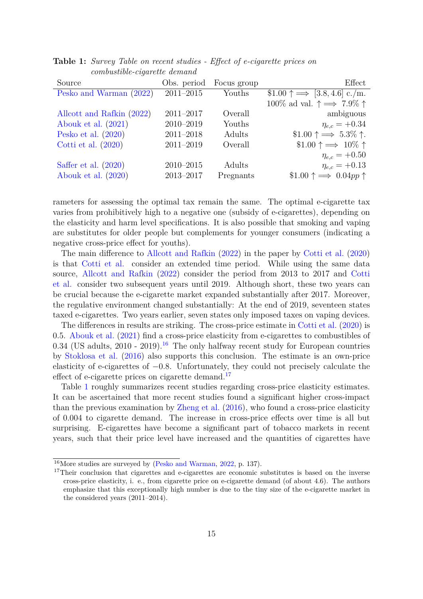| oo noo wooddoo olay wildoo wontowidw |               |             |                                                   |  |  |  |
|--------------------------------------|---------------|-------------|---------------------------------------------------|--|--|--|
| Source                               | Obs. period   | Focus group | Effect                                            |  |  |  |
| Pesko and Warman (2022)              | $2011 - 2015$ | Youths      | $$1.00 \uparrow \Longrightarrow [3.8, 4.6]$ c./m. |  |  |  |
|                                      |               |             | 100\% ad val. $\uparrow \implies 7.9\% \uparrow$  |  |  |  |
| Allcott and Rafkin (2022)            | $2011 - 2017$ | Overall     | ambiguous                                         |  |  |  |
| Abouk et al. $(2021)$                | $2010 - 2019$ | Youths      | $\eta_{e,c} = +0.34$                              |  |  |  |
| Pesko et al. $(2020)$                | $2011 - 2018$ | Adults      | \$1.00 $\uparrow \implies 5.3\% \uparrow$ .       |  |  |  |
| Cotti et al. $(2020)$                | $2011 - 2019$ | Overall     | $$1.00 \uparrow \implies 10\% \uparrow$           |  |  |  |
|                                      |               |             | $\eta_{e,c} = +0.50$                              |  |  |  |
| Saffer et al. $(2020)$               | $2010 - 2015$ | Adults      | $\eta_{e,c} = +0.13$                              |  |  |  |
| Abouk et al. $(2020)$                | 2013-2017     | Pregnants   | \$1.00 $\uparrow \implies 0.04pp \uparrow$        |  |  |  |
|                                      |               |             |                                                   |  |  |  |

<span id="page-16-2"></span>**Table 1:** *Survey Table on recent studies - Effect of e-cigarette prices on combustible-cigarette demand*

rameters for assessing the optimal tax remain the same. The optimal e-cigarette tax varies from prohibitively high to a negative one (subsidy of e-cigarettes), depending on the elasticity and harm level specifications. It is also possible that smoking and vaping are substitutes for older people but complements for younger consumers (indicating a negative cross-price effect for youths).

The main difference to [Allcott and Rafkin](#page-19-1) [\(2022\)](#page-19-1) in the paper by [Cotti et al.](#page-19-4) [\(2020\)](#page-19-4) is that [Cotti et al.](#page-19-4) consider an extended time period. While using the same data source, [Allcott and Rafkin](#page-19-1) [\(2022\)](#page-19-1) consider the period from 2013 to 2017 and [Cotti](#page-19-4) [et al.](#page-19-4) consider two subsequent years until 2019. Although short, these two years can be crucial because the e-cigarette market expanded substantially after 2017. Moreover, the regulative environment changed substantially: At the end of 2019, seventeen states taxed e-cigarettes. Two years earlier, seven states only imposed taxes on vaping devices.

The differences in results are striking. The cross-price estimate in [Cotti et al.](#page-19-4) [\(2020\)](#page-19-4) is 0.5. [Abouk et al.](#page-19-6) [\(2021\)](#page-19-6) find a cross-price elasticity from e-cigarettes to combustibles of  $0.34$  (US adults,  $2010 - 2019$ ).<sup>[16](#page-16-0)</sup> The only halfway recent study for European countries by [Stoklosa et al.](#page-21-2) [\(2016\)](#page-21-2) also supports this conclusion. The estimate is an own-price elasticity of e-cigarettes of −0*.*8. Unfortunately, they could not precisely calculate the effect of e-cigarette prices on cigarette demand.<sup>[17](#page-16-1)</sup>

Table [1](#page-16-2) roughly summarizes recent studies regarding cross-price elasticity estimates. It can be ascertained that more recent studies found a significant higher cross-impact than the previous examination by [Zheng et al.](#page-21-3) [\(2016\)](#page-21-3), who found a cross-price elasticity of 0.004 to cigarette demand. The increase in cross-price effects over time is all but surprising. E-cigarettes have become a significant part of tobacco markets in recent years, such that their price level have increased and the quantities of cigarettes have

<span id="page-16-0"></span><sup>16</sup>More studies are surveyed by [\(Pesko and Warman,](#page-21-7) [2022,](#page-21-7) p. 137).

<span id="page-16-1"></span><sup>&</sup>lt;sup>17</sup>Their conclusion that cigarettes and e-cigarettes are economic substitutes is based on the inverse cross-price elasticity, i. e., from cigarette price on e-cigarette demand (of about 4.6). The authors emphasize that this exceptionally high number is due to the tiny size of the e-cigarette market in the considered years (2011–2014).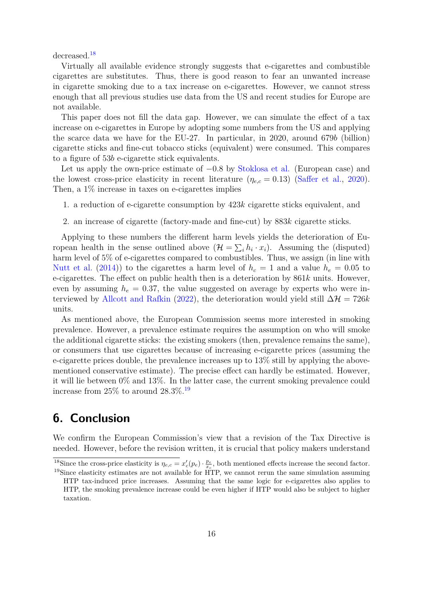decreased.[18](#page-17-1)

Virtually all available evidence strongly suggests that e-cigarettes and combustible cigarettes are substitutes. Thus, there is good reason to fear an unwanted increase in cigarette smoking due to a tax increase on e-cigarettes. However, we cannot stress enough that all previous studies use data from the US and recent studies for Europe are not available.

This paper does not fill the data gap. However, we can simulate the effect of a tax increase on e-cigarettes in Europe by adopting some numbers from the US and applying the scarce data we have for the EU-27. In particular, in 2020, around 679*b* (billion) cigarette sticks and fine-cut tobacco sticks (equivalent) were consumed. This compares to a figure of 53*b* e-cigarette stick equivalents.

Let us apply the own-price estimate of −0*.*8 by [Stoklosa et al.](#page-21-2) (European case) and the lowest cross-price elasticity in recent literature  $(\eta_{e,c} = 0.13)$  [\(Saffer et al.,](#page-21-5) [2020\)](#page-21-5). Then, a 1% increase in taxes on e-cigarettes implies

- 1. a reduction of e-cigarette consumption by 423*k* cigarette sticks equivalent, and
- 2. an increase of cigarette (factory-made and fine-cut) by 883*k* cigarette sticks.

Applying to these numbers the different harm levels yields the deterioration of European health in the sense outlined above  $(\mathcal{H} = \sum_i h_i \cdot x_i)$ . Assuming the (disputed) harm level of 5% of e-cigarettes compared to combustibles. Thus, we assign (in line with [Nutt et al.](#page-21-4) [\(2014\)](#page-21-4)) to the cigarettes a harm level of  $h_c = 1$  and a value  $h_e = 0.05$  to e-cigarettes. The effect on public health then is a deterioration by 861*k* units. However, even by assuming  $h_e = 0.37$ , the value suggested on average by experts who were in-terviewed by [Allcott and Rafkin](#page-19-1) [\(2022\)](#page-19-1), the deterioration would yield still  $\Delta \mathcal{H} = 726k$ units.

As mentioned above, the European Commission seems more interested in smoking prevalence. However, a prevalence estimate requires the assumption on who will smoke the additional cigarette sticks: the existing smokers (then, prevalence remains the same), or consumers that use cigarettes because of increasing e-cigarette prices (assuming the e-cigarette prices double, the prevalence increases up to 13% still by applying the abovementioned conservative estimate). The precise effect can hardly be estimated. However, it will lie between 0% and 13%. In the latter case, the current smoking prevalence could increase from  $25\%$  to around  $28.3\%$ .<sup>[19](#page-17-2)</sup>

#### <span id="page-17-0"></span>**6. Conclusion**

We confirm the European Commission's view that a revision of the Tax Directive is needed. However, before the revision written, it is crucial that policy makers understand

<span id="page-17-2"></span><span id="page-17-1"></span><sup>&</sup>lt;sup>18</sup>Since the cross-price elasticity is  $\eta_{e,c} = x_c'(p_e) \cdot \frac{p_e}{x_c}$ , both mentioned effects increase the second factor. <sup>19</sup>Since elasticity estimates are not available for  $\overline{HT}P$ , we cannot rerun the same simulation assuming

HTP tax-induced price increases. Assuming that the same logic for e-cigarettes also applies to HTP, the smoking prevalence increase could be even higher if HTP would also be subject to higher taxation.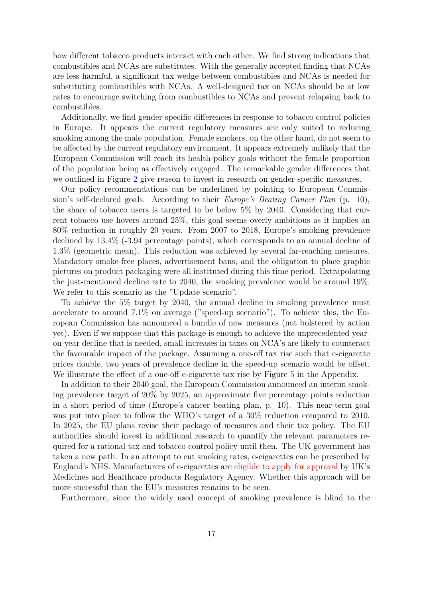how different tobacco products interact with each other. We find strong indications that combustibles and NCAs are substitutes. With the generally accepted finding that NCAs are less harmful, a significant tax wedge between combustibles and NCAs is needed for substituting combustibles with NCAs. A well-designed tax on NCAs should be at low rates to encourage switching from combustibles to NCAs and prevent relapsing back to combustibles.

Additionally, we find gender-specific differences in response to tobacco control policies in Europe. It appears the current regulatory measures are only suited to reducing smoking among the male population. Female smokers, on the other hand, do not seem to be affected by the current regulatory environment. It appears extremely unlikely that the European Commission will reach its health-policy goals without the female proportion of the population being as effectively engaged. The remarkable gender differences that we outlined in Figure [2](#page-7-0) give reason to invest in research on gender-specific measures.

Our policy recommendations can be underlined by pointing to European Commission's self-declared goals. According to their *Europe's Beating Cancer Plan* (p. 10), the share of tobacco users is targeted to be below 5% by 2040. Considering that current tobacco use hovers around 25%, this goal seems overly ambitious as it implies an 80% reduction in roughly 20 years. From 2007 to 2018, Europe's smoking prevalence declined by 13.4% (-3.94 percentage points), which corresponds to an annual decline of 1.3% (geometric mean). This reduction was achieved by several far-reaching measures. Mandatory smoke-free places, advertisement bans, and the obligation to place graphic pictures on product packaging were all instituted during this time period. Extrapolating the just-mentioned decline rate to 2040, the smoking prevalence would be around 19%. We refer to this scenario as the "Update scenario".

To achieve the 5% target by 2040, the annual decline in smoking prevalence must accelerate to around 7.1% on average ("speed-up scenario"). To achieve this, the European Commission has announced a bundle of new measures (not bolstered by action yet). Even if we suppose that this package is enough to achieve the unprecedented yearon-year decline that is needed, small increases in taxes on NCA's are likely to counteract the favourable impact of the package. Assuming a one-off tax rise such that e-cigarette prices double, two years of prevalence decline in the speed-up scenario would be offset. We illustrate the effect of a one-off e-cigarette tax rise by Figure [5](#page-23-1) in the Appendix.

In addition to their 2040 goal, the European Commission announced an interim smoking prevalence target of 20% by 2025, an approximate five percentage points reduction in a short period of time (Europe's cancer beating plan, p. 10). This near-term goal was put into place to follow the WHO's target of a 30% reduction compared to 2010. In 2025, the EU plans revise their package of measures and their tax policy. The EU authorities should invest in additional research to quantify the relevant parameters required for a rational tax and tobacco control policy until then. The UK government has taken a new path. In an attempt to cut smoking rates, e-cigarettes can be prescribed by England's NHS. Manufacturers of e-cigarettes are [eligible to apply for approval](https://www.gov.uk/government/news/e-cigarettes-could-be-prescribed-on-the-nhs-in-world-first) by UK's Medicines and Healthcare products Regulatory Agency. Whether this approach will be more successful than the EU's measures remains to be seen.

Furthermore, since the widely used concept of smoking prevalence is blind to the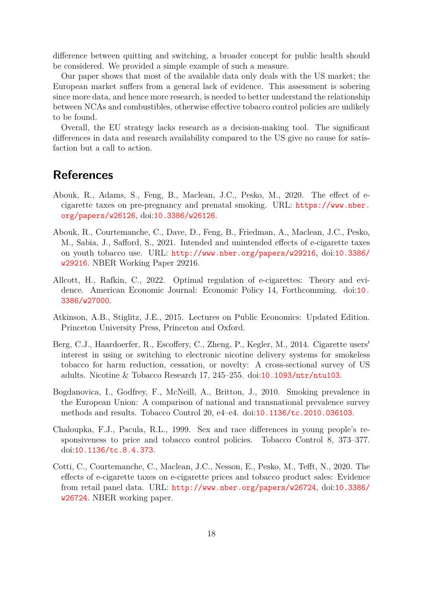difference between quitting and switching, a broader concept for public health should be considered. We provided a simple example of such a measure.

Our paper shows that most of the available data only deals with the US market; the European market suffers from a general lack of evidence. This assessment is sobering since more data, and hence more research, is needed to better understand the relationship between NCAs and combustibles, otherwise effective tobacco control policies are unlikely to be found.

Overall, the EU strategy lacks research as a decision-making tool. The significant differences in data and research availability compared to the US give no cause for satisfaction but a call to action.

#### **References**

- <span id="page-19-7"></span>Abouk, R., Adams, S., Feng, B., Maclean, J.C., Pesko, M., 2020. The effect of ecigarette taxes on pre-pregnancy and prenatal smoking. URL: [https://www.nber.](https://www.nber.org/papers/w26126) [org/papers/w26126](https://www.nber.org/papers/w26126), doi:[10.3386/w26126](http://dx.doi.org/10.3386/w26126).
- <span id="page-19-6"></span>Abouk, R., Courtemanche, C., Dave, D., Feng, B., Friedman, A., Maclean, J.C., Pesko, M., Sabia, J., Safford, S., 2021. Intended and unintended effects of e-cigarette taxes on youth tobacco use. URL: <http://www.nber.org/papers/w29216>, doi:[10.3386/](http://dx.doi.org/10.3386/w29216) [w29216](http://dx.doi.org/10.3386/w29216). NBER Working Paper 29216.
- <span id="page-19-1"></span>Allcott, H., Rafkin, C., 2022. Optimal regulation of e-cigarettes: Theory and evidence. American Economic Journal: Economic Policy 14, Forthcomming. doi:[10.](http://dx.doi.org/10.3386/w27000) [3386/w27000](http://dx.doi.org/10.3386/w27000).
- <span id="page-19-5"></span>Atkinson, A.B., Stiglitz, J.E., 2015. Lectures on Public Economics: Updated Edition. Princeton University Press, Princeton and Oxford.
- <span id="page-19-3"></span>Berg, C.J., Haardoerfer, R., Escoffery, C., Zheng, P., Kegler, M., 2014. Cigarette users' interest in using or switching to electronic nicotine delivery systems for smokeless tobacco for harm reduction, cessation, or novelty: A cross-sectional survey of US adults. Nicotine & Tobacco Research 17, 245–255. doi:[10.1093/ntr/ntu103](http://dx.doi.org/10.1093/ntr/ntu103).
- <span id="page-19-2"></span>Bogdanovica, I., Godfrey, F., McNeill, A., Britton, J., 2010. Smoking prevalence in the European Union: A comparison of national and transnational prevalence survey methods and results. Tobacco Control 20, e4–e4. doi:[10.1136/tc.2010.036103](http://dx.doi.org/10.1136/tc.2010.036103).
- <span id="page-19-0"></span>Chaloupka, F.J., Pacula, R.L., 1999. Sex and race differences in young people's responsiveness to price and tobacco control policies. Tobacco Control 8, 373–377. doi:[10.1136/tc.8.4.373](http://dx.doi.org/10.1136/tc.8.4.373).
- <span id="page-19-4"></span>Cotti, C., Courtemanche, C., Maclean, J.C., Nesson, E., Pesko, M., Tefft, N., 2020. The effects of e-cigarette taxes on e-cigarette prices and tobacco product sales: Evidence from retail panel data. URL: <http://www.nber.org/papers/w26724>, doi:[10.3386/](http://dx.doi.org/10.3386/w26724) [w26724](http://dx.doi.org/10.3386/w26724). NBER working paper.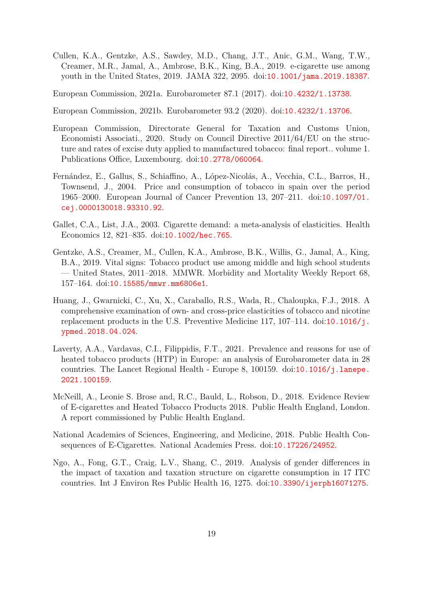- <span id="page-20-7"></span>Cullen, K.A., Gentzke, A.S., Sawdey, M.D., Chang, J.T., Anic, G.M., Wang, T.W., Creamer, M.R., Jamal, A., Ambrose, B.K., King, B.A., 2019. e-cigarette use among youth in the United States, 2019. JAMA 322, 2095. doi:[10.1001/jama.2019.18387](http://dx.doi.org/10.1001/jama.2019.18387).
- <span id="page-20-5"></span>European Commission, 2021a. Eurobarometer 87.1 (2017). doi:[10.4232/1.13738](http://dx.doi.org/10.4232/1.13738).
- <span id="page-20-6"></span>European Commission, 2021b. Eurobarometer 93.2 (2020). doi:[10.4232/1.13706](http://dx.doi.org/10.4232/1.13706).
- <span id="page-20-0"></span>European Commission, Directorate General for Taxation and Customs Union, Economisti Associati., 2020. Study on Council Directive 2011/64/EU on the structure and rates of excise duty applied to manufactured tobacco: final report.. volume 1. Publications Office, Luxembourg. doi:[10.2778/060064](http://dx.doi.org/10.2778/060064).
- <span id="page-20-10"></span>Fernández, E., Gallus, S., Schiaffino, A., López-Nicolás, A., Vecchia, C.L., Barros, H., Townsend, J., 2004. Price and consumption of tobacco in spain over the period 1965–2000. European Journal of Cancer Prevention 13, 207–211. doi:[10.1097/01.](http://dx.doi.org/10.1097/01.cej.0000130018.93310.92) [cej.0000130018.93310.92](http://dx.doi.org/10.1097/01.cej.0000130018.93310.92).
- <span id="page-20-2"></span>Gallet, C.A., List, J.A., 2003. Cigarette demand: a meta-analysis of elasticities. Health Economics 12, 821–835. doi:[10.1002/hec.765](http://dx.doi.org/10.1002/hec.765).
- <span id="page-20-8"></span>Gentzke, A.S., Creamer, M., Cullen, K.A., Ambrose, B.K., Willis, G., Jamal, A., King, B.A., 2019. Vital signs: Tobacco product use among middle and high school students — United States, 2011–2018. MMWR. Morbidity and Mortality Weekly Report 68, 157–164. doi:[10.15585/mmwr.mm6806e1](http://dx.doi.org/10.15585/mmwr.mm6806e1).
- <span id="page-20-11"></span>Huang, J., Gwarnicki, C., Xu, X., Caraballo, R.S., Wada, R., Chaloupka, F.J., 2018. A comprehensive examination of own- and cross-price elasticities of tobacco and nicotine replacement products in the U.S. Preventive Medicine 117, 107–114. doi:[10.1016/j.](http://dx.doi.org/10.1016/j.ypmed.2018.04.024) [ypmed.2018.04.024](http://dx.doi.org/10.1016/j.ypmed.2018.04.024).
- <span id="page-20-9"></span>Laverty, A.A., Vardavas, C.I., Filippidis, F.T., 2021. Prevalence and reasons for use of heated tobacco products (HTP) in Europe: an analysis of Eurobarometer data in 28 countries. The Lancet Regional Health - Europe 8, 100159. doi:[10.1016/j.lanepe.](http://dx.doi.org/10.1016/j.lanepe.2021.100159) [2021.100159](http://dx.doi.org/10.1016/j.lanepe.2021.100159).
- <span id="page-20-4"></span>McNeill, A., Leonie S. Brose and, R.C., Bauld, L., Robson, D., 2018. Evidence Review of E-cigarettes and Heated Tobacco Products 2018. Public Health England, London. A report commissioned by Public Health England.
- <span id="page-20-3"></span>National Academies of Sciences, Engineering, and Medicine, 2018. Public Health Consequences of E-Cigarettes. National Academies Press. doi:[10.17226/24952](http://dx.doi.org/10.17226/24952).
- <span id="page-20-1"></span>Ngo, A., Fong, G.T., Craig, L.V., Shang, C., 2019. Analysis of gender differences in the impact of taxation and taxation structure on cigarette consumption in 17 ITC countries. Int J Environ Res Public Health 16, 1275. doi:[10.3390/ijerph16071275](http://dx.doi.org/10.3390/ijerph16071275).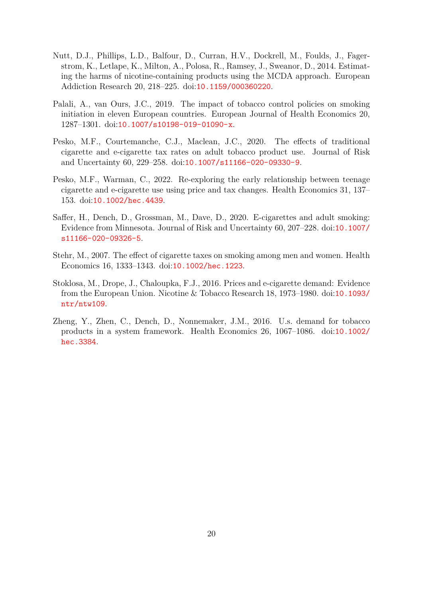- <span id="page-21-4"></span>Nutt, D.J., Phillips, L.D., Balfour, D., Curran, H.V., Dockrell, M., Foulds, J., Fagerstrom, K., Letlape, K., Milton, A., Polosa, R., Ramsey, J., Sweanor, D., 2014. Estimating the harms of nicotine-containing products using the MCDA approach. European Addiction Research 20, 218–225. doi:[10.1159/000360220](http://dx.doi.org/10.1159/000360220).
- <span id="page-21-1"></span>Palali, A., van Ours, J.C., 2019. The impact of tobacco control policies on smoking initiation in eleven European countries. European Journal of Health Economics 20, 1287–1301. doi:[10.1007/s10198-019-01090-x](http://dx.doi.org/10.1007/s10198-019-01090-x).
- <span id="page-21-6"></span>Pesko, M.F., Courtemanche, C.J., Maclean, J.C., 2020. The effects of traditional cigarette and e-cigarette tax rates on adult tobacco product use. Journal of Risk and Uncertainty 60, 229–258. doi:[10.1007/s11166-020-09330-9](http://dx.doi.org/10.1007/s11166-020-09330-9).
- <span id="page-21-7"></span>Pesko, M.F., Warman, C., 2022. Re-exploring the early relationship between teenage cigarette and e-cigarette use using price and tax changes. Health Economics 31, 137– 153. doi:[10.1002/hec.4439](http://dx.doi.org/10.1002/hec.4439).
- <span id="page-21-5"></span>Saffer, H., Dench, D., Grossman, M., Dave, D., 2020. E-cigarettes and adult smoking: Evidence from Minnesota. Journal of Risk and Uncertainty 60, 207–228. doi:[10.1007/](http://dx.doi.org/10.1007/s11166-020-09326-5) [s11166-020-09326-5](http://dx.doi.org/10.1007/s11166-020-09326-5).
- <span id="page-21-0"></span>Stehr, M., 2007. The effect of cigarette taxes on smoking among men and women. Health Economics 16, 1333–1343. doi:[10.1002/hec.1223](http://dx.doi.org/10.1002/hec.1223).
- <span id="page-21-2"></span>Stoklosa, M., Drope, J., Chaloupka, F.J., 2016. Prices and e-cigarette demand: Evidence from the European Union. Nicotine & Tobacco Research 18, 1973–1980. doi:[10.1093/](http://dx.doi.org/10.1093/ntr/ntw109) [ntr/ntw109](http://dx.doi.org/10.1093/ntr/ntw109).
- <span id="page-21-3"></span>Zheng, Y., Zhen, C., Dench, D., Nonnemaker, J.M., 2016. U.s. demand for tobacco products in a system framework. Health Economics 26, 1067–1086. doi:[10.1002/](http://dx.doi.org/10.1002/hec.3384) [hec.3384](http://dx.doi.org/10.1002/hec.3384).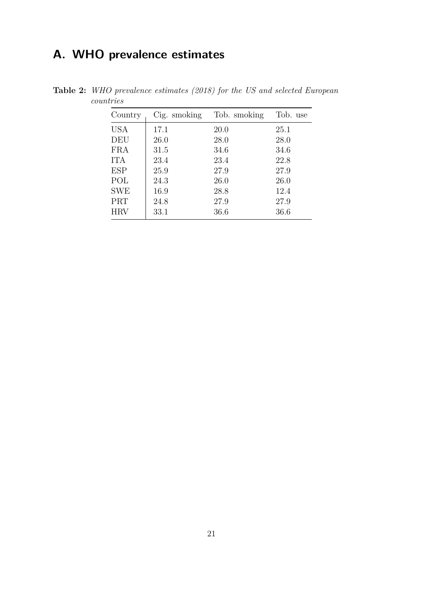### <span id="page-22-0"></span>**A. WHO prevalence estimates**

| Country    | Cig. smoking | Tob. smoking | Tob. use |
|------------|--------------|--------------|----------|
| <b>USA</b> | 17.1         | 20.0         | 25.1     |
| <b>DEU</b> | 26.0         | 28.0         | 28.0     |
| <b>FRA</b> | 31.5         | 34.6         | 34.6     |
| <b>ITA</b> | 23.4         | 23.4         | 22.8     |
| <b>ESP</b> | 25.9         | 27.9         | 27.9     |
| POL        | 24.3         | 26.0         | 26.0     |
| <b>SWE</b> | 16.9         | 28.8         | 12.4     |
| PRT        | 24.8         | 27.9         | 27.9     |
| <b>HRV</b> | 33.1         | 36.6         | 36.6     |

<span id="page-22-1"></span>**Table 2:** *WHO prevalence estimates (2018) for the US and selected European countries*